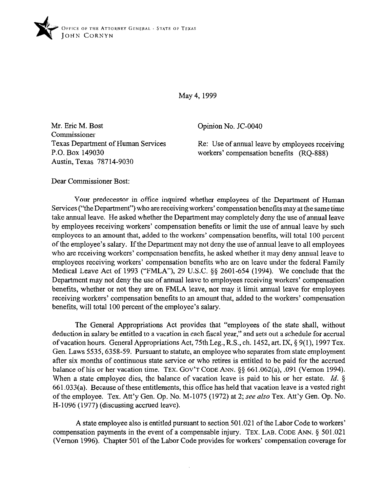

May 4, 1999

Mr. Eric M. Bost Commissioner Texas Department of Human Services P.O. Box 149030 Austin, Texas 78714-9030

Opinion No. JC-0040

Re: Use of annual leave by employees receiving workers' compensation benefits (RQ-888)

Dear Commissioner Bost:

Your predecessor in office inquired whether employees of the Department of Human Services ("the Department") who are receiving workers' compensation benefits may at the same time take annual leave. He asked whether the Department may completely deny the use of annual leave by employees receiving workers' compensation benefits or limit the use of annual leave by such employees to an amount that, added to the workers' compensation benefits, will total 100 percent of the employee's salary. Ifthe Department may not deny the use of annual leave to all employees who are receiving workers' compensation benefits, he asked whether it may deny annual leave to employees receiving workers' compensation benefits who are on leave under the federal Family Medical Leave Act of 1993 ("FMLA"), 29 U.S.C. \$5 2601-654 (1994). We conclude that the Department may not deny the use of annual leave to employees receiving workers' compensation benefits, whether or not they are on FMLA leave, nor may it limit annual leave for employees receiving workers' compensation benefits to an amount that, added to the workers' compensation benefits, will total 100 percent of the employee's salary.

The General Appropriations Act provides that "employees of the state shall, without deduction in salary be entitled to a vacation in each fiscal year," and sets out a schedule for accrual ofvacation hours. General Appropriations Act, 75th Leg., R.S., ch. 1452, art. IX, 5 9(l), 1997 Tex. Gen. Laws 5535,6358-59. Pursuant to statute, an employee who separates from state employment after six months of continuous state service or who retires is entitled to be paid for the accrued balance of his or her vacation time. TEX. GOV'T CODE ANN.  $\S$ § 661.062(a), .091 (Vernon 1994). When a state employee dies, the balance of vacation leave is paid to his or her estate. *Id.* § 661.033(a). Because of these entitlements, this office has held that vacation leave is a vested right of the employee. Tex. Att'y Gen. Op. No. M-1075 (1972) at 2; see also Tex. Att'y Gen. Op. No. H-1096 (1977) (discussing accrued leave).

A state employee also is entitled pursuant to section 501.021 of the Labor Code to workers' compensation payments in the event of a compensable injury. **TEX. LAB. CODE ANN. 5 501.021**  (Vernon 1996). Chapter 501 of the Labor Code provides for workers' compensation coverage for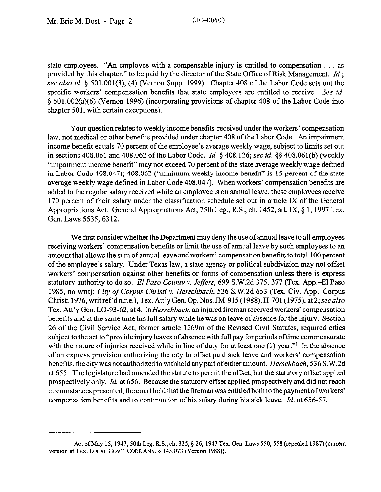state employees. "An employee with a compensable injury is entitled to compensation  $\dots$  as provided by this chapter," to be paid by the director of the State Office of Risk Management. *Id.;*  see also id. § 501.001(3), (4) (Vernon Supp. 1999). Chapter 408 of the Labor Code sets out the specific workers' compensation benefits that state employees are entitled to receive. See *id.*  5 501.002(a)(6) (Vernon 1996) (incorporating provisions of chapter 408 of the Labor Code into chapter 501, with certain exceptions).

Your question relates to weekly income benefits received under the workers' compensation law, not medical or other benefits provided under chapter 408 of the Labor Code. An impairment income benefit equals 70 percent of the employee's average weekly wage, subject to limits set out in sections 408.061 and 408.062 of the Labor Code. *Id.* § 408.126; see *id.* §§ 408.061(b) (weekly "impairment income benefit" may not exceed 70 percent of the state average weekly wage defined in Labor Code 408.047); 408.062 ("minimum weekly income benefit" is 15 percent of the state average weekly wage defined in Labor Code 408.047). When workers' compensation benefits are added to the regular salary received while an employee is on annual leave, these employees receive 170 percent of their salary under the classification schedule set out in article IX of the General Appropriations Act. General Appropriations Act, 75th Leg., R.S., ch. 1452, art. IX, § 1, 1997 Tex. Gen. Laws 5535,6312.

We first consider whether the Department may deny the use of annual leave to all employees receiving workers' compensation benefits or limit the use of annual leave by such employees to an amount that allows the sum of annual leave and workers' compensation benefits to total 100 percent of the employee's salary. Under Texas law, a state agency or political subdivision may not offset workers' compensation against other benefits or forms of compensation unless there is express statutory authority to do *so. El Paso County v. Jeffers,* 699 S.W.2d 375,377 (Tex. App.-El Paso 1985, no writ); *City of Corpus Christi v. Herschbach,* 536 S.W.2d 653 (Tex. Civ. App.-Corpus Christi 1976, writ ref'd n.r.e.), Tex. Att'y Gen. Op. Nos. JM-915 (1988), H-701 (1975), at 2; see also Tex. Att'y Gen. LO-93-62, at *4.* In *Herschbach,* an injured fireman received workers' compensation benefits and at the same time his full salary while he was on leave of absence for the injury. Section 26 of the Civil Service Act, former article 1269m of the Revised Civil Statutes, required cities subject to the act to "provide injury leaves of absence with full pay for periods oftime commensurate with the nature of injuries received while in line of duty for at least one (1) year."<sup>1</sup> In the absence of an express provision authorizing the city to offset paid sick leave and workers' compensation benefits, the city was not authorized to withhold any part ofeither amount. *Herschbach, 536* S.W.2d at 655. The legislature had amended the statute to permit the offset, but the statutory offset applied prospectively only. *Id.* at 656. Because the statutory offset applied prospectively and did not reach circumstances presented, the court held that the fireman was entitled both to the payment ofworkers' compensation benefits and to continuation of his salary during his sick leave. *Id.* at 656-57.

<sup>&#</sup>x27;Act of May 15,1947,5Oth Leg. R.S., ch. 325, \$26,1947 Tex. Gen. Laws 550,558 (repealed 1987) (current version at TEX. LOCAL GOV'T CODE ANN. § 143.073 (Vernon 1988)).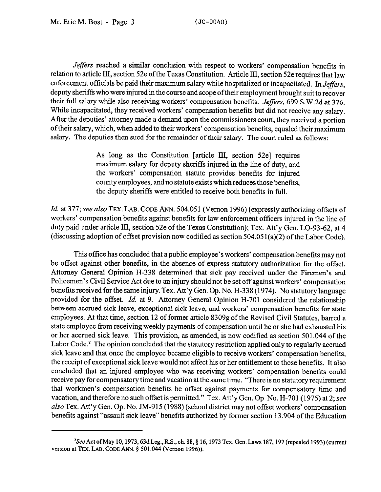Jeffers reached a similar conclusion with respect to workers' compensation benefits in relation to article III, section 52e of the Texas Constitution. Article III, section 52e requires that law enforcement officials be paid their maximum salary while hospitalized or incapacitated. In *Jeffers,*  deputy sheriffs who were injured in the course and scope oftheir employment brought suit to recover their full salary while also receiving workers' compensation benefits. *Jeffers, 699* S.W.2d at 376. While incapacitated, they received workers' compensation benefits but did not receive any salary. After the deputies' attorney made a demand upon the commissioners court, they received a portion of their salary, which, when added to their workers' compensation benefits, equaled their maximum salary. The deputies then sued for the remainder of their salary. The court ruled as follows:

> As long as the Constitution [article III, section 52e] requires maximum salary for deputy sheriffs injured in the line of duty, and the workers' compensation statute provides benefits for injured county employees, and no statute exists which reduces those benefits, the deputy sheriffs were entitled to receive both benefits in full.

Id. at 377; see also TEX. LAB. CODE ANN. 504.051 (Vernon 1996) (expressly authorizing offsets of workers' compensation benefits against benefits for law enforcement officers injured in the line of duty paid under article III, section 52e of the Texas Constitution); Tex. Att'y Gen. LO-93-62, at 4 (discussing adoption of offset provision now codified as section  $504.051(a)(2)$  of the Labor Code).

This office has concluded that a public employee's workers' compensation benefits may not be offset against other benefits, in the absence of express statutory authorization for the offset. Attorney General Opinion H-338 determined that sick pay received under the Firemen's and Policemen's Civil Service Act due to an injury should not be set off against workers' compensation benefits received for the same injury. Tex. Att'y Gen. Op. No. H-338 (1974). No statutory language provided for the offset. *Id.* at 9. Attorney General Opinion H-701 considered the relationship between accrued sick leave, exceptional sick leave, and workers' compensation benefits for state employees. At that time, section 12 of former article 8309g of the Revised Civil Statutes, barred a state employee from receiving weekly payments of compensation until he or she had exhausted his or her accrued sick leave. This provision, as amended, is now codified as section 501.044 of the Labor Code? The opinion concluded that the statutory restriction applied only to regularly accrued sick leave and that once the employee became eligible to receive workers' compensation benefits, the receipt of exceptional sick leave would not affect his or her entitlement to those benefits. It also concluded that an injured employee who was receiving workers' compensation benefits could receive pay for compensatory time and vacation at the same time. "There is no statutory requirement that workmen's compensation benefits be offset against payments for compensatory time and vacation, and therefore no such offset is permitted." Tex. Att'y Gen. Op. No. H-701 (1975) at 2; see also Tex. Att'y Gen. Op. No. IM-915 (1988) (school district may not offset workers' compensation benefits against "assault sick leave" benefits authorized by former section 13.904 of the Education

 $^{2}$ See Act of May 10, 1973, 63d Leg., R.S., ch. 88, § 16, 1973 Tex. Gen. Laws 187, 197 (repealed 1993) (current version at TEX. LAB. CODE ANN. § 501.044 (Vernon 1996)).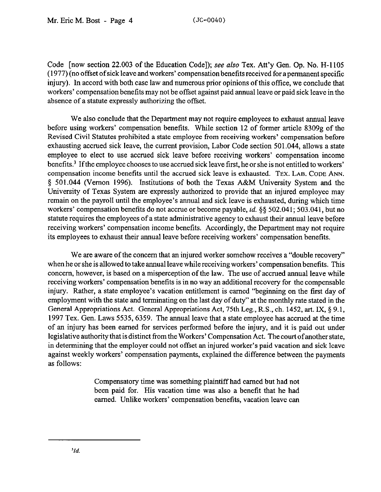Code [now section 22.003 of the Education Code]); see *also* Tex. Att'y Gen. Op. No. H-l 105 (1977) (no offset of sick leave and workers' compensation benefits received for a permanent specific injury). In accord with both case law and numerous prior opinions of this office, we conclude that workers' compensation benefits may not be offset against paid annual leave or paid sick leave in the absence of a statute expressly authorizing the offset.

We also conclude that the Department may not require employees to exhaust annual leave before using workers' compensation benefits. While section 12 of former article 8309g of the Revised Civil Statutes prohibited a state employee from receiving workers' compensation before exhausting accrued sick leave, the current provision, Labor Code section 501.044, allows a state employee to elect to use accrued sick leave before receiving workers' compensation income benefits? If the employee chooses to use accrued sick leave first, he or she is not entitled to workers' compensation income benefits until the accrued sick leave is exhausted. **TEX. LAB. CODE ANN.**  3 501.044 (Vernon 1996). Institutions of both the Texas A&M University System and the University of Texas System are expressly authorized to provide that an injured employee may remain on the payroll until the employee's annual and sick leave is exhausted, during which time workers' compensation benefits do not accrue or become payable, id. \$3 502.041; 503.041, but no statute requires the employees of a state administrative agency to exhaust their annual leave before receiving workers' compensation income benefits. Accordingly, the Department may not require its employees to exhaust their annual leave before receiving workers' compensation benefits.

We are aware of the concern that an injured worker somehow receives a "double recovery" when he or she is allowed to take annual leave while receiving workers' compensation benefits. This concern, however, is based on a misperception of the law. The use of accrued annual leave while receiving workers' compensation benefits is in no way an additional recovery for the compensable injury. Rather, a state employee's vacation entitlement is earned "beginning on the first day of employment with the state and terminating on the last day of duty" at the monthly rate stated in the General Appropriations Act. General Appropriations Act, 75th Leg., R.S., ch. 1452, art. IX, § 9.1, 1997 Tex. Gen. Laws 5535,6359. The annual leave that a state employee has accrued at the time of an injury has been earned for services performed before the injury, and it is paid out under legislative authority that is distinct from the Workers' Compensation Act. The court of another state, in determining that the employer could not offset an injured worker's paid vacation and sick leave against weekly workers' compensation payments, explained the difference between the payments as follows:

> Compensatory time was something plaintiff had earned but had not been paid for. His vacation time was also a benefit that he had earned. Unlike workers' compensation benefits, vacation leave can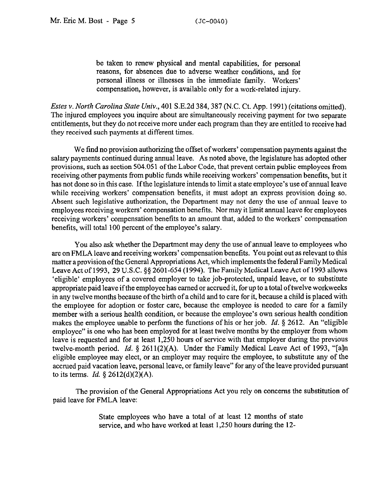be taken to renew physical and mental capabilities, for personal reasons, for absences due to adverse weather conditions, and for personal illness or illnesses in the immediate family. Workers' compensation, however, is available only for a work-related injury.

*Estes v. North Carolina State Univ.*, 401 S.E.2d 384, 387 (N.C. Ct. App. 1991) (citations omitted). The injured employees you inquire about are simultaneously receiving payment for two separate entitlements, but they do not receive more under each program than they are entitled to receive had they received such payments at different times.

We find no provision authorizing the offset of workers' compensation payments against the salary payments continued during annual leave. As noted above, the legislature has adopted other provisions, such as section 504.051 of the Labor Code, that prevent certain public employees from receiving other payments from public funds while receiving workers' compensation benefits, but it has not done so in this case. If the legislature intends to limit a state employee's use of annual leave while receiving workers' compensation benefits, it must adopt an express provision doing so. Absent such legislative authorization, the Department may not deny the use of annual leave to employees receiving workers' compensation benefits. Nor may it limit annual leave for employees receiving workers' compensation benefits to an amount that, added to the workers' compensation benefits, will total 100 percent of the employee's salary.

You also ask whether the Department may deny the use of annual leave to employees who are on FMLA leave and receiving workers' compensation benefits. You point out as relevant to this matter a provision of the General Appropriations Act, which implements the federal Family Medical Leave Act of 1993, 29 U.S.C. 9s 2601-654 (1994). The Family Medical Leave Act of 1993 allows 'eligible' employees of a covered employer to take job-protected, unpaid leave, or to substitute appropriate paid leave if the employee has earned or accrued it, for up to a total of twelve workweeks in any twelve months because ofthe birth of a child and to care for it, because a child is placed with the employee for adoption or foster care, because the employee is needed to care for a family member with a serious health condition, or because the employee's own serious health condition makes the employee unable to perform the functions of his or her job. *Id.* 5 2612. An "eligible employee" is one who has been employed for at least twelve months by the employer from whom leave is requested and for at least 1,250 hours of service with that employer during the previous twelve-month period. *Id.* § 2611(2)(A). Under the Family Medical Leave Act of 1993, "[a]n eligible employee may elect, or an employer may require the employee, to substitute any of the accrued paid vacation leave, personal leave, or family leave" for any of the leave provided pursuant to its terms. *Id.* 5 2612(d)(2)(A).

The provision of the General Appropriations Act you rely on concerns the substitution of paid leave for FMLA leave:

> State employees who have a total of at least 12 months of state service, and who have worked at least 1,250 hours during the 12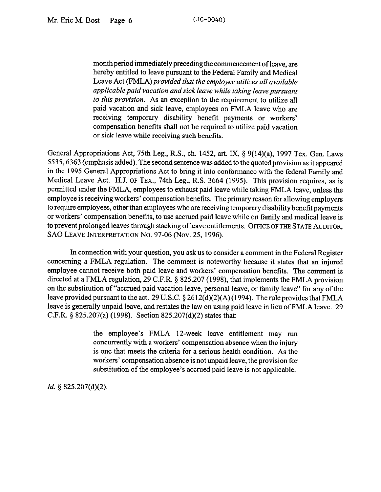month period immediately preceding the commencement of leave, are hereby entitled to leave pursuant to the Federal Family and Medical Leave Act (FMLA) *provided that the employee utilizes all available applicable paid vacation and sick leave while taking leave pursuant to this provision.* As an exception to the requirement to utilize all paid vacation and sick leave, employees on FMLA leave who are receiving temporary disability benefit payments or workers' compensation benefits shall not be required to utilize paid vacation or sick leave while receiving such benefits.

General Appropriations Act, 75th Leg., R.S., ch. 1452, art. IX, 5 9(14)(a), 1997 Tex. Gen. Laws 5535,6363 (emphasis added). The second sentence was added to the quoted provision as it appeared in the 1995 General Appropriations Act to bring it into conformance with the federal Family and Medical Leave Act. H.J. **OF TEX.,** 74th Leg., R.S. 3664 (1995). This provision requires, as is permitted under the FMLA, employees to exhaust paid leave while taking FMLA leave, unless the employee is receiving workers' compensation benefits. The primary reason for allowing employers to require employees, other than employees who are receiving temporary disability benefit payments or workers' compensation benefits, to use accrued paid leave while on family and medical leave is to prevent prolonged leaves through stacking of leave entitlements. **OFFICE OF THE STATE AUDITOR, SAO LEAVE INTERPRETATION No. 97-06 (Nov. 25,1996).** 

In connection with your question, you ask us to consider a comment in the Federal Register concerning a FMLA regulation. The comment is noteworthy because it states that an injured employee cannot receive both paid leave and workers' compensation benefits. The comment is directed at a FMLA regulation, 29 C.F.R. § 825.207 (1998), that implements the FMLA provision on the substitution of "accrued paid vacation leave, personal leave, or family leave" for any of the leave provided pursuant to the act. 29 U.S.C.  $\S 2612(d)(2)(A)(1994)$ . The rule provides that FMLA leave is generally unpaid leave, and restates the law on using paid leave in lieu of FMLA leave. 29 C.F.R. \$ 825.207(a) (1998). Section 825.207(d)(2) states that:

> the employee's FMLA 12-week leave entitlement may run concurrently with a workers' compensation absence when the injury is one that meets the criteria for a serious health condition. As the workers' compensation absence is not unpaid leave, the provision for substitution of the employee's accrued paid leave is not applicable.

*Id. 5* 825.207(d)(2).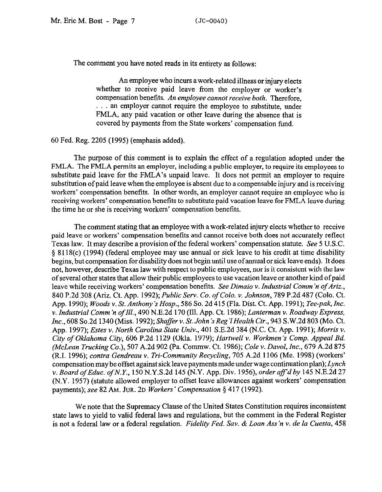The comment you have noted reads in its entirety as follows:

An employee who incurs a work-related illness or injury elects whether to receive paid leave from the employer or worker's compensation benefits. *An employee cannot receive both.* Therefore, ... an employer cannot require the employee to substitute, under FMLA, any paid vacation or other leave during the absence that is covered by payments from the State workers' compensation fund.

## 60 Fed. Reg. 2205 (1995) (emphasis added).

The purpose of this comment is to explain the effect of a regulation adopted under the FMLA. The FMLA permits an employer, including a public employer, to require its employees to substitute paid leave for the FMLA's unpaid leave. It does not permit an employer to require substitution of paid leave when the employee is absent due to a compensable injury and is receiving workers' compensation benefits. In other words, an employer cannot require an employee who is receiving workers' compensation benefits to substitute paid vacation leave for FMLA leave during the time he or she is receiving workers' compensation benefits.

The comment stating that an employee with a work-related injury elects whether to receive paid leave or workers' compensation benefits and cannot receive both does not accurately reflect Texas law. It may describe a provision of the federal workers' compensation statute. See 5 U.S.C. 5 8118(c) (1994) (federal employee may use annual or sick leave to his credit at time disability begins, but compensation for disability does not begin until use of annual or sick leave ends). It does not, however, describe Texas law with respect to public employees, nor is it consistent with the law of several other states that allow their public employees to use vacation leave or another kind ofpaid leave while receiving workers' compensation benefits. *See Dimaio v. Industrial Comm'n of Ariz.*, 840 P.2d 308 (Ariz. Ct. App. 1992); *Public Serv. Co. ofCo10. v. Johnson, 789* P.2d 487 (Colo. Ct. App. 1990); *Woods v. St. Anthony's Hosp.,* 586 So. 2d 415 (Fla. Dist. Ct. App. 1991); *Tee-pak, Inc. v. Industrial Comm'n of Ill., 490 N.E.2d 170 (Ill. App. Ct. 1986); Lanterman v. Roadway Express, Inc., 608* So.2d *1340* (Miss. 1992); *Shafferv. St. John's Reg'lHealth Ctr., 943* S.W.2d 803 (MO. Ct. App. 1997); *Estes v. North Carolina State* Univ., 401 S.E.2d 384 (N.C. Ct. App. 1991); *Morris v. City of Oklahoma City,* 606 P.2d 1129 (Okla. 1979); *Hartwell v. Workmen s Camp. Appeal Bd. (McLean Trucking Co.), 507* A.2d *902* (Pa. *Commw.* Ct. 1986); *Cole v. Davol, Inc., 679* A.2d 875 (R.I. 1996); *contra Gendreau v. Tri-Community Recycling,* 705 A.2d 1106 (Me. 1998) (workers' compensation may be offset against sick leave payments made under wage continuation plan); *Lynch v.BoardofEduc.ofN.Y.,* 150N.Y.S.2d145(N.Y.App.Div. 1956),orderaff'dby145N.E,2d27 (N.Y. 1957) (statute allowed employer to offset leave allowances against workers' compensation payments); see 82 Am. JUR. 2D *Workers' Compensation* § 417 (1992).

We note that the Supremacy Clause of the United States Constitution requires inconsistent state laws to yield to valid federal laws and regulations, but the comment in the Federal Register is not a federal law or a federal regulation. *Fidelity Fed. Sav. & Loan Ass 'n v. de la Cuesta, 458*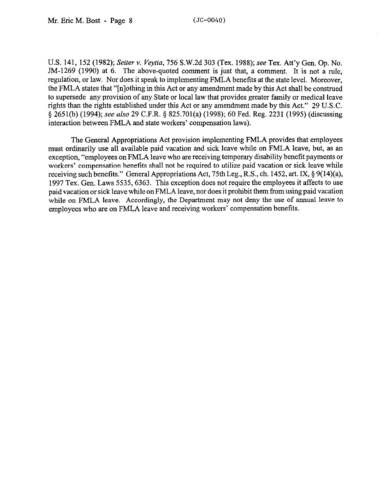U.S. 141, 152 (1982); *Seiter v. Veytiu, 756* S.W.2d 303 (Tex. 1988); see Tex. Att'y Gen. Op. No. JM-1269 (1990) at 6. The above-quoted comment is just that, a comment. It is not a rule, regulation, or law. Nor does it speak to implementing FMLA benefits at the state level. Moreover, the FMLA states that "[nlothing in this Act or any amendment made by this Act shall be construed to supersede any provision of any State or local law that provides greater family or medical leave rights than the rights established under this Act or any amendment made by this Act." 29 U.S.C. § 2651(b) (1994); see also 29 C.F.R. § 825.701(a) (1998); 60 Fed. Reg. 2231 (1995) (discussing interaction between FMLA and state workers' compensation laws).

The General Appropriations Act provision implementing FMLA provides that employees must ordinarily use all available paid vacation and sick leave while on FMLA leave, but, as an exception, "employees on FMLA leave who are receiving temporary disability benefit payments or workers' compensation benefits shall not be required to utilize paid vacation or sick leave while receiving such benefits." General Appropriations Act, 75th Leg., R.S., ch. 1452, art. IX, § 9(14)(a), 1997 Tex. Gen. Laws 5535,6363. This exception does not require the employees it affects to use paid vacation or sick leave while on FMLA leave, nor does it prohibit them from using paid vacation while on FMLA leave. Accordingly, the Department may not deny the use of annual leave to employees who are on FMLA leave and receiving workers' compensation benefits.